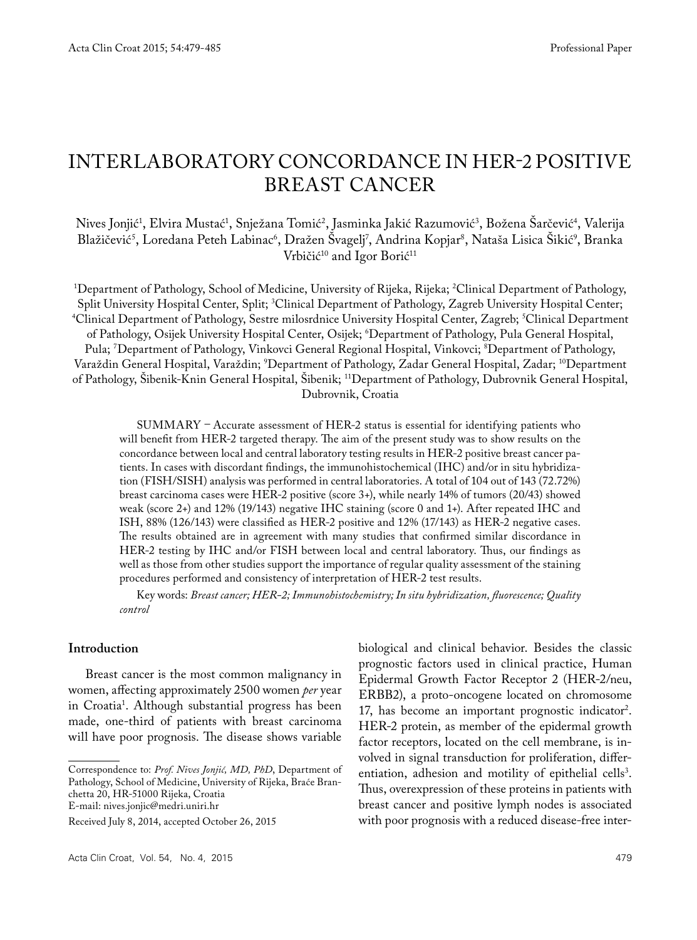# Interlaboratory concordance in HER-2 positive breast cancer

Nives Jonjić', Elvira Mustać', Snježana Tomić', Jasminka Jakić Razumović', Božena Sarčević', Valerija Blažičević', Loredana Peteh Labinac'', Dražen Svagelj′, Andrina Kopjar'', Nataša Lisica Sikić'', Branka Vrbičić<sup>10</sup> and Igor Borić<sup>11</sup>

1 Department of Pathology, School of Medicine, University of Rijeka, Rijeka; 2 Clinical Department of Pathology, Split University Hospital Center, Split; <sup>3</sup>Clinical Department of Pathology, Zagreb University Hospital Center; Split University Hospital Center, Split; 'Clinical Department of Pathology, Zagreb University Hospital Center;<br>"Clinical Department of Pathology, Sestre milosrdnice University Hospital Center, Zagreb; <sup>5</sup>Clinical Departmen of Pathology, Osijek University Hospital Center, Osijek; 'Department of Pathology, Pula General Hospital, Pula; 'Department of Pathology, Vinkovci General Regional Hospital, Vinkovci; <sup>s</sup>Department of Pathology, Varaždin General Hospital, Varaždin; <sup>9</sup>Department of Pathology, Zadar General Hospital, Zadar; <sup>10</sup>Department of Pathology, Šibenik-Knin General Hospital, Šibenik; 11Department of Pathology, Dubrovnik General Hospital, Dubrovnik, Croatia

SUMMARY – Accurate assessment of HER-2 status is essential for identifying patients who will benefit from HER-2 targeted therapy. The aim of the present study was to show results on the concordance between local and central laboratory testing results in HER-2 positive breast cancer patients. In cases with discordant findings, the immunohistochemical (IHC) and/or in situ hybridization (FISH/SISH) analysis was performed in central laboratories. A total of 104 out of 143 (72.72%) breast carcinoma cases were HER-2 positive (score 3+), while nearly 14% of tumors (20/43) showed weak (score 2+) and 12% (19/143) negative IHC staining (score 0 and 1+). After repeated IHC and ISH, 88% (126/143) were classified as HER-2 positive and 12% (17/143) as HER-2 negative cases. The results obtained are in agreement with many studies that confirmed similar discordance in HER-2 testing by IHC and/or FISH between local and central laboratory. Thus, our findings as well as those from other studies support the importance of regular quality assessment of the staining procedures performed and consistency of interpretation of HER-2 test results.

Key words: *Breast cancer; HER-2; Immunohistochemistry; In situ hybridization, fluorescence; Quality control*

#### **Introduction**

Breast cancer is the most common malignancy in women, affecting approximately 2500 women *per* year in Croatia1 . Although substantial progress has been made, one-third of patients with breast carcinoma will have poor prognosis. The disease shows variable

biological and clinical behavior. Besides the classic prognostic factors used in clinical practice, Human Epidermal Growth Factor Receptor 2 (HER-2/neu, ERBB2), a proto-oncogene located on chromosome 17, has become an important prognostic indicator<sup>2</sup>. HER-2 protein, as member of the epidermal growth factor receptors, located on the cell membrane, is involved in signal transduction for proliferation, differentiation, adhesion and motility of epithelial cells<sup>3</sup>. Thus, overexpression of these proteins in patients with breast cancer and positive lymph nodes is associated with poor prognosis with a reduced disease-free inter-

Correspondence to: *Prof. Nives Jonjić, MD, PhD*, Department of Pathology, School of Medicine, University of Rijeka, Braće Branchetta 20, HR-51000 Rijeka, Croatia E-mail: nives.jonjic@medri.uniri.hr

Received July 8, 2014, accepted October 26, 2015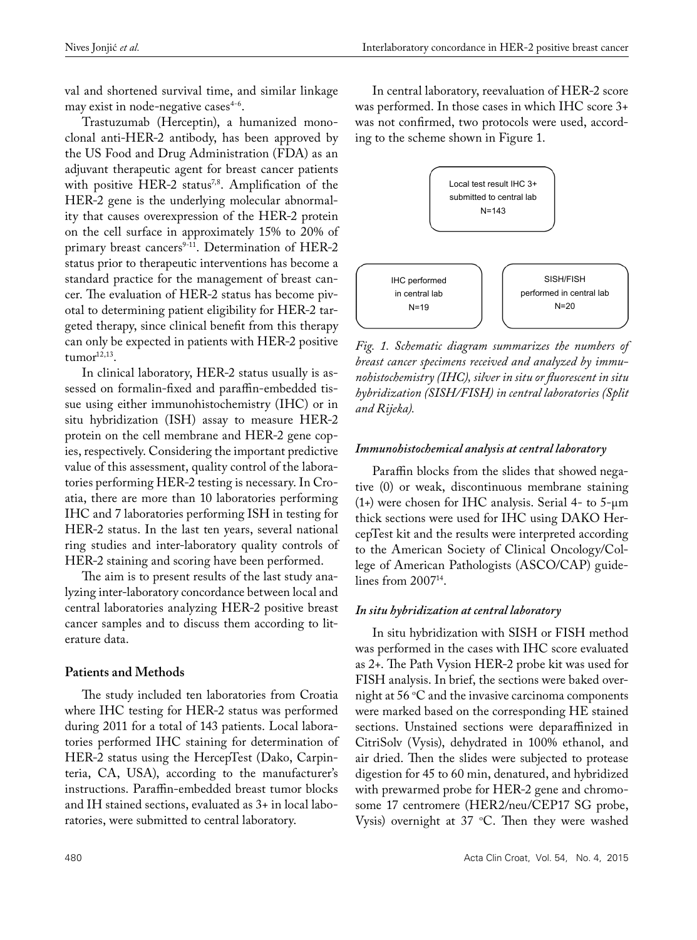val and shortened survival time, and similar linkage may exist in node-negative cases $4-6$ .

Trastuzumab (Herceptin), a humanized monoclonal anti-HER-2 antibody, has been approved by the US Food and Drug Administration (FDA) as an adjuvant therapeutic agent for breast cancer patients with positive HER-2 status<sup>7,8</sup>. Amplification of the HER-2 gene is the underlying molecular abnormality that causes overexpression of the HER-2 protein on the cell surface in approximately 15% to 20% of primary breast cancers<sup>9-11</sup>. Determination of HER-2 status prior to therapeutic interventions has become a standard practice for the management of breast cancer. The evaluation of HER-2 status has become pivotal to determining patient eligibility for HER-2 targeted therapy, since clinical benefit from this therapy can only be expected in patients with HER-2 positive  $t$ umor $12,13$ .

In clinical laboratory, HER-2 status usually is assessed on formalin-fixed and paraffin-embedded tissue using either immunohistochemistry (IHC) or in situ hybridization (ISH) assay to measure HER-2 protein on the cell membrane and HER-2 gene copies, respectively. Considering the important predictive value of this assessment, quality control of the laboratories performing HER-2 testing is necessary. In Croatia, there are more than 10 laboratories performing IHC and 7 laboratories performing ISH in testing for HER-2 status. In the last ten years, several national ring studies and inter-laboratory quality controls of HER-2 staining and scoring have been performed.

The aim is to present results of the last study analyzing inter-laboratory concordance between local and central laboratories analyzing HER-2 positive breast cancer samples and to discuss them according to literature data.

## **Patients and Methods**

The study included ten laboratories from Croatia where IHC testing for HER-2 status was performed during 2011 for a total of 143 patients. Local laboratories performed IHC staining for determination of HER-2 status using the HercepTest (Dako, Carpinteria, CA, USA), according to the manufacturer's instructions. Paraffin-embedded breast tumor blocks and IH stained sections, evaluated as 3+ in local laboratories, were submitted to central laboratory.

In central laboratory, reevaluation of HER-2 score was performed. In those cases in which IHC score 3+ was not confirmed, two protocols were used, according to the scheme shown in Figure 1.



*Fig. 1. Schematic diagram summarizes the numbers of breast cancer specimens received and analyzed by immunohistochemistry (IHC), silver in situ or fluorescent in situ hybridization (SISH/FISH) in central laboratories (Split and Rijeka).*

#### *Immunohistochemical analysis at central laboratory*

Paraffin blocks from the slides that showed negative (0) or weak, discontinuous membrane staining (1+) were chosen for IHC analysis. Serial 4- to  $5-\mu m$ thick sections were used for IHC using DAKO HercepTest kit and the results were interpreted according to the American Society of Clinical Oncology/College of American Pathologists (ASCO/CAP) guidelines from 2007<sup>14</sup>.

## *In situ hybridization at central laboratory*

In situ hybridization with SISH or FISH method was performed in the cases with IHC score evaluated as 2+. The Path Vysion HER-2 probe kit was used for FISH analysis. In brief, the sections were baked overnight at  $56 \degree C$  and the invasive carcinoma components were marked based on the corresponding HE stained sections. Unstained sections were deparaffinized in CitriSolv (Vysis), dehydrated in 100% ethanol, and air dried. Then the slides were subjected to protease digestion for 45 to 60 min, denatured, and hybridized with prewarmed probe for HER-2 gene and chromosome 17 centromere (HER2/neu/CEP17 SG probe, Vysis) overnight at  $37 \text{ °C}$ . Then they were washed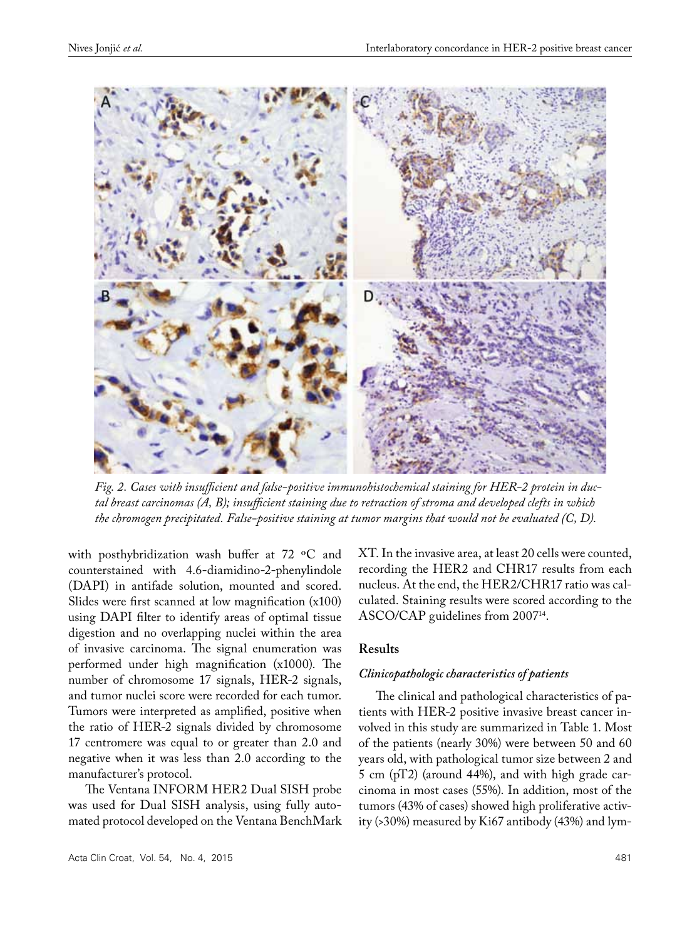

*Fig. 2. Cases with insufficient and false-positive immunohistochemical staining for HER-2 protein in ductal breast carcinomas (A, B); insufficient staining due to retraction of stroma and developed clefts in which the chromogen precipitated. False-positive staining at tumor margins that would not be evaluated (C, D).*

with posthybridization wash buffer at 72 ºC and counterstained with 4.6-diamidino-2-phenylindole (DAPI) in antifade solution, mounted and scored. Slides were first scanned at low magnification (x100) using DAPI filter to identify areas of optimal tissue digestion and no overlapping nuclei within the area of invasive carcinoma. The signal enumeration was performed under high magnification (x1000). The number of chromosome 17 signals, HER-2 signals, and tumor nuclei score were recorded for each tumor. Tumors were interpreted as amplified, positive when the ratio of HER-2 signals divided by chromosome 17 centromere was equal to or greater than 2.0 and negative when it was less than 2.0 according to the manufacturer's protocol.

The Ventana INFORM HER2 Dual SISH probe was used for Dual SISH analysis, using fully automated protocol developed on the Ventana BenchMark

Acta Clin Croat, Vol. 54, No. 4, 2015 481

XT. In the invasive area, at least 20 cells were counted, recording the HER2 and CHR17 results from each nucleus. At the end, the HER2/CHR17 ratio was calculated. Staining results were scored according to the ASCO/CAP guidelines from 200714.

## **Results**

#### *Clinicopathologic characteristics of patients*

The clinical and pathological characteristics of patients with HER-2 positive invasive breast cancer involved in this study are summarized in Table 1. Most of the patients (nearly 30%) were between 50 and 60 years old, with pathological tumor size between 2 and 5 cm  $(pT2)$  (around 44%), and with high grade carcinoma in most cases (55%). In addition, most of the tumors (43% of cases) showed high proliferative activity (>30%) measured by Ki67 antibody (43%) and lym-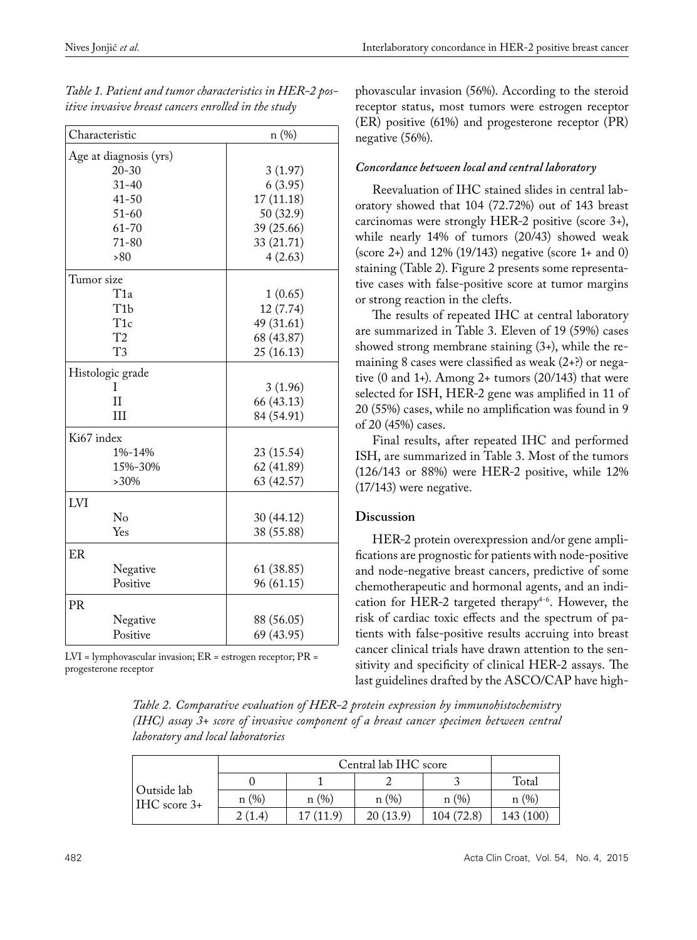| Characteristic         | n (%)      |  |  |  |
|------------------------|------------|--|--|--|
| Age at diagnosis (yrs) |            |  |  |  |
| $20 - 30$              | 3(1.97)    |  |  |  |
| $31 - 40$              | 6(3.95)    |  |  |  |
| $41 - 50$              | 17 (11.18) |  |  |  |
| $51 - 60$              | 50 (32.9)  |  |  |  |
| $61 - 70$              | 39 (25.66) |  |  |  |
| $71 - 80$              | 33 (21.71) |  |  |  |
| >80                    | 4(2.63)    |  |  |  |
| Tumor size             |            |  |  |  |
| T1a                    | 1(0.65)    |  |  |  |
| T <sub>1</sub> b       | 12 (7.74)  |  |  |  |
| T <sub>1c</sub>        | 49 (31.61) |  |  |  |
| T <sub>2</sub>         | 68 (43.87) |  |  |  |
| T3                     | 25 (16.13) |  |  |  |
| Histologic grade       |            |  |  |  |
| Ι                      | 3(1.96)    |  |  |  |
| Ħ                      | 66 (43.13) |  |  |  |
| Ш                      | 84 (54.91) |  |  |  |
| Ki67 index             |            |  |  |  |
| 1%-14%                 | 23 (15.54) |  |  |  |
| 15%-30%                | 62 (41.89) |  |  |  |
| $>30\%$                | 63 (42.57) |  |  |  |
| LVI                    |            |  |  |  |
| No                     | 30(44.12)  |  |  |  |
| Yes                    | 38 (55.88) |  |  |  |
| ER                     |            |  |  |  |
| Negative               | 61 (38.85) |  |  |  |
| Positive               | 96 (61.15) |  |  |  |
| <b>PR</b>              |            |  |  |  |
| Negative               | 88 (56.05) |  |  |  |
| Positive               | 69 (43.95) |  |  |  |

*Table 1. Patient and tumor characteristics in HER-2 positive invasive breast cancers enrolled in the study*

LVI = lymphovascular invasion; ER = estrogen receptor; PR = progesterone receptor

phovascular invasion (56%). According to the steroid receptor status, most tumors were estrogen receptor (ER) positive (61%) and progesterone receptor (PR) negative (56%).

# *Concordance between local and central laboratory*

Reevaluation of IHC stained slides in central laboratory showed that 104 (72.72%) out of 143 breast carcinomas were strongly HER-2 positive (score 3+), while nearly 14% of tumors (20/43) showed weak (score 2+) and 12% (19/143) negative (score 1+ and 0) staining (Table 2). Figure 2 presents some representative cases with false-positive score at tumor margins or strong reaction in the clefts.

The results of repeated IHC at central laboratory are summarized in Table 3. Eleven of 19 (59%) cases showed strong membrane staining (3+), while the remaining 8 cases were classified as weak (2+?) or negative  $(0 \text{ and } 1+)$ . Among 2+ tumors  $(20/143)$  that were selected for ISH, HER-2 gene was amplified in 11 of 20 (55%) cases, while no amplification was found in 9 of 20 (45%) cases.

Final results, after repeated IHC and performed ISH, are summarized in Table 3. Most of the tumors (126/143 or 88%) were HER-2 positive, while 12% (17/143) were negative.

# **Discussion**

HER-2 protein overexpression and/or gene amplifications are prognostic for patients with node-positive and node-negative breast cancers, predictive of some chemotherapeutic and hormonal agents, and an indication for HER-2 targeted therapy<sup>4-6</sup>. However, the risk of cardiac toxic effects and the spectrum of patients with false-positive results accruing into breast cancer clinical trials have drawn attention to the sensitivity and specificity of clinical HER-2 assays. The last guidelines drafted by the ASCO/CAP have high-

*Table 2. Comparative evaluation of HER-2 protein expression by immunohistochemistry (IHC) assay 3+ score of invasive component of a breast cancer specimen between central laboratory and local laboratories* 

|                              | Central lab IHC score |          |          |           |           |
|------------------------------|-----------------------|----------|----------|-----------|-----------|
| Outside lab<br>$HC score 3+$ |                       |          |          |           | Total     |
|                              | n(%)                  | n(%)     | n(%)     | n(%)      | n(%)      |
|                              | 2(1.4)                | 17(11.9) | 20(13.9) | 104(72.8) | 143 (100) |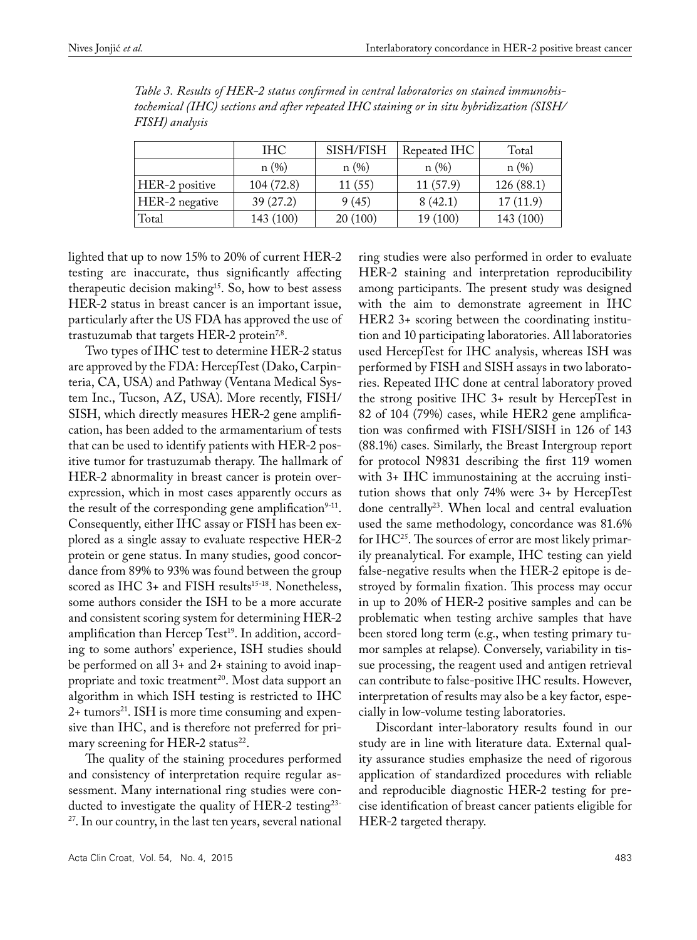|                | <b>IHC</b> | SISH/FISH | Repeated IHC | Total     |
|----------------|------------|-----------|--------------|-----------|
|                | n(%)       | n(%)      | n(%)         | n(%)      |
| HER-2 positive | 104(72.8)  | 11(55)    | 11(57.9)     | 126(88.1) |
| HER-2 negative | 39(27.2)   | 9(45)     | 8(42.1)      | 17(11.9)  |
| Total          | 143 (100)  | 20(100)   | 19 (100)     | 143 (100) |

*Table 3. Results of HER-2 status confirmed in central laboratories on stained immunohistochemical (IHC) sections and after repeated IHC staining or in situ hybridization (SISH/ FISH) analysis* 

lighted that up to now 15% to 20% of current HER-2 testing are inaccurate, thus significantly affecting therapeutic decision making<sup>15</sup>. So, how to best assess HER-2 status in breast cancer is an important issue, particularly after the US FDA has approved the use of trastuzumab that targets HER-2 protein<sup>7,8</sup>.

Two types of IHC test to determine HER-2 status are approved by the FDA: HercepTest (Dako, Carpinteria, CA, USA) and Pathway (Ventana Medical System Inc., Tucson, AZ, USA). More recently, FISH/ SISH, which directly measures HER-2 gene amplification, has been added to the armamentarium of tests that can be used to identify patients with HER-2 positive tumor for trastuzumab therapy. The hallmark of HER-2 abnormality in breast cancer is protein overexpression, which in most cases apparently occurs as the result of the corresponding gene amplification<sup>9-11</sup>. Consequently, either IHC assay or FISH has been explored as a single assay to evaluate respective HER-2 protein or gene status. In many studies, good concordance from 89% to 93% was found between the group scored as IHC  $3+$  and FISH results<sup>15-18</sup>. Nonetheless, some authors consider the ISH to be a more accurate and consistent scoring system for determining HER-2 amplification than Hercep Test<sup>19</sup>. In addition, according to some authors' experience, ISH studies should be performed on all 3+ and 2+ staining to avoid inappropriate and toxic treatment<sup>20</sup>. Most data support an algorithm in which ISH testing is restricted to IHC  $2+$  tumors<sup>21</sup>. ISH is more time consuming and expensive than IHC, and is therefore not preferred for primary screening for HER-2 status $^{22}$ .

The quality of the staining procedures performed and consistency of interpretation require regular assessment. Many international ring studies were conducted to investigate the quality of HER-2 testing<sup>23-</sup> 27. In our country, in the last ten years, several national ring studies were also performed in order to evaluate HER-2 staining and interpretation reproducibility among participants. The present study was designed with the aim to demonstrate agreement in IHC HER2 3+ scoring between the coordinating institution and 10 participating laboratories. All laboratories used HercepTest for IHC analysis, whereas ISH was performed by FISH and SISH assays in two laboratories. Repeated IHC done at central laboratory proved the strong positive IHC 3+ result by HercepTest in 82 of 104 (79%) cases, while HER2 gene amplification was confirmed with FISH/SISH in 126 of 143 (88.1%) cases. Similarly, the Breast Intergroup report for protocol N9831 describing the first 119 women with 3+ IHC immunostaining at the accruing institution shows that only 74% were 3+ by HercepTest done centrally<sup>23</sup>. When local and central evaluation used the same methodology, concordance was 81.6% for IHC25. The sources of error are most likely primarily preanalytical. For example, IHC testing can yield false-negative results when the HER-2 epitope is destroyed by formalin fixation. This process may occur in up to 20% of HER-2 positive samples and can be problematic when testing archive samples that have been stored long term (e.g., when testing primary tumor samples at relapse). Conversely, variability in tissue processing, the reagent used and antigen retrieval can contribute to false-positive IHC results. However, interpretation of results may also be a key factor, especially in low-volume testing laboratories.

Discordant inter-laboratory results found in our study are in line with literature data. External quality assurance studies emphasize the need of rigorous application of standardized procedures with reliable and reproducible diagnostic HER-2 testing for precise identification of breast cancer patients eligible for HER-2 targeted therapy.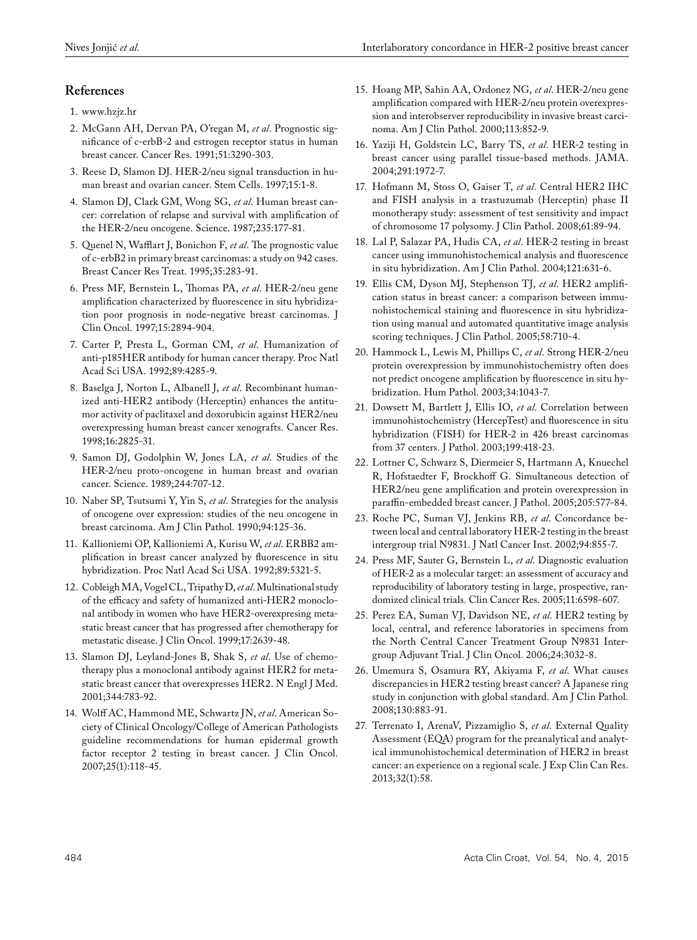# **References**

- 1. www.hzjz.hr
- 2. McGann AH, Dervan PA, O'regan M, *et al*. Prognostic significance of c-erbB-2 and estrogen receptor status in human breast cancer. Cancer Res. 1991;51:3290-303.
- 3. Reese D, Slamon DJ. HER-2/neu signal transduction in human breast and ovarian cancer. Stem Cells. 1997;15:1-8.
- 4. Slamon DJ, Clark GM, Wong SG, *et al*. Human breast cancer: correlation of relapse and survival with amplification of the HER-2/neu oncogene. Science. 1987;235:177-81.
- 5. Quenel N, Wafflart J, Bonichon F, *et al*. The prognostic value of c-erbB2 in primary breast carcinomas: a study on 942 cases. Breast Cancer Res Treat. 1995;35:283-91.
- 6. Press MF, Bernstein L, Thomas PA, *et al*. HER-2/neu gene amplification characterized by fluorescence in situ hybridization poor prognosis in node-negative breast carcinomas. J Clin Oncol. 1997;15:2894-904.
- 7. Carter P, Presta L, Gorman CM, *et al*. Humanization of anti-p185HER antibody for human cancer therapy. Proc Natl Acad Sci USA. 1992;89:4285-9.
- 8. Baselga J, Norton L, Albanell J, *et al*. Recombinant humanized anti-HER2 antibody (Herceptin) enhances the antitumor activity of paclitaxel and doxorubicin against HER2/neu overexpressing human breast cancer xenografts. Cancer Res. 1998;16:2825-31.
- 9. Samon DJ, Godolphin W, Jones LA, *et al*. Studies of the HER-2/neu proto-oncogene in human breast and ovarian cancer. Science. 1989;244:707-12.
- 10. Naber SP, Tsutsumi Y, Yin S, *et al*. Strategies for the analysis of oncogene over expression: studies of the neu oncogene in breast carcinoma. Am J Clin Pathol. 1990;94:125-36.
- 11. Kallioniemi OP, Kallioniemi A, Kurisu W, *et al*. ERBB2 amplification in breast cancer analyzed by fluorescence in situ hybridization. Proc Natl Acad Sci USA. 1992;89:5321-5.
- 12. Cobleigh MA, Vogel CL, Tripathy D, *et al*. Multinational study of the efficacy and safety of humanized anti-HER2 monoclonal antibody in women who have HER2-overexpresing metastatic breast cancer that has progressed after chemotherapy for metastatic disease. J Clin Oncol. 1999;17:2639-48.
- 13. Slamon DJ, Leyland-Jones B, Shak S, *et al*. Use of chemotherapy plus a monoclonal antibody against HER2 for metastatic breast cancer that overexpresses HER2. N Engl J Med. 2001;344:783-92.
- 14. Wolff AC, Hammond ME, Schwartz JN, *et al*. American Society of Clinical Oncology/College of American Pathologists guideline recommendations for human epidermal growth factor receptor 2 testing in breast cancer. J Clin Oncol. 2007;25(1):118-45.
- 15. Hoang MP, Sahin AA, Ordonez NG, *et al*. HER-2/neu gene amplification compared with HER-2/neu protein overexpression and interobserver reproducibility in invasive breast carcinoma. Am J Clin Pathol. 2000;113:852-9.
- 16. Yaziji H, Goldstein LC, Barry TS, *et al*. HER-2 testing in breast cancer using parallel tissue-based methods. JAMA. 2004;291:1972-7.
- 17. Hofmann M, Stoss O, Gaiser T, *et al*. Central HER2 IHC and FISH analysis in a trastuzumab (Herceptin) phase II monotherapy study: assessment of test sensitivity and impact of chromosome 17 polysomy. J Clin Pathol. 2008;61:89-94.
- 18. Lal P, Salazar PA, Hudis CA, *et al*. HER-2 testing in breast cancer using immunohistochemical analysis and fluorescence in situ hybridization. Am J Clin Pathol. 2004;121:631-6.
- 19. Ellis CM, Dyson MJ, Stephenson TJ, *et al*. HER2 amplification status in breast cancer: a comparison between immunohistochemical staining and fluorescence in situ hybridization using manual and automated quantitative image analysis scoring techniques. J Clin Pathol. 2005;58:710-4.
- 20. Hammock L, Lewis M, Phillips C, *et al*. Strong HER-2/neu protein overexpression by immunohistochemistry often does not predict oncogene amplification by fluorescence in situ hybridization. Hum Pathol. 2003;34:1043-7.
- 21. Dowsett M, Bartlett J, Ellis IO, *et al*. Correlation between immunohistochemistry (HercepTest) and fluorescence in situ hybridization (FISH) for HER-2 in 426 breast carcinomas from 37 centers. J Pathol. 2003;199:418-23.
- 22. Lottner C, Schwarz S, Diermeier S, Hartmann A, Knuechel R, Hofstaedter F, Brockhoff G. Simultaneous detection of HER2/neu gene amplification and protein overexpression in paraffin-embedded breast cancer. J Pathol. 2005;205:577-84.
- 23. Roche PC, Suman VJ, Jenkins RB, *et al*. Concordance between local and central laboratory HER-2 testing in the breast intergroup trial N9831. J Natl Cancer Inst. 2002;94:855-7.
- 24. Press MF, Sauter G, Bernstein L, *et al*. Diagnostic evaluation of HER-2 as a molecular target: an assessment of accuracy and reproducibility of laboratory testing in large, prospective, randomized clinical trials. Clin Cancer Res. 2005;11:6598-607.
- 25. Perez EA, Suman VJ, Davidson NE, *et al*. HER2 testing by local, central, and reference laboratories in specimens from the North Central Cancer Treatment Group N9831 Intergroup Adjuvant Trial. J Clin Oncol. 2006;24:3032-8.
- 26. Umemura S, Osamura RY, Akiyama F, *et al*. What causes discrepancies in HER2 testing breast cancer? A Japanese ring study in conjunction with global standard. Am J Clin Pathol. 2008;130:883-91.
- 27. Terrenato I, ArenaV, Pizzamiglio S, *et al*. External Quality Assessment (EQA) program for the preanalytical and analytical immunohistochemical determination of HER2 in breast cancer: an experience on a regional scale. J Exp Clin Can Res. 2013;32(1):58.